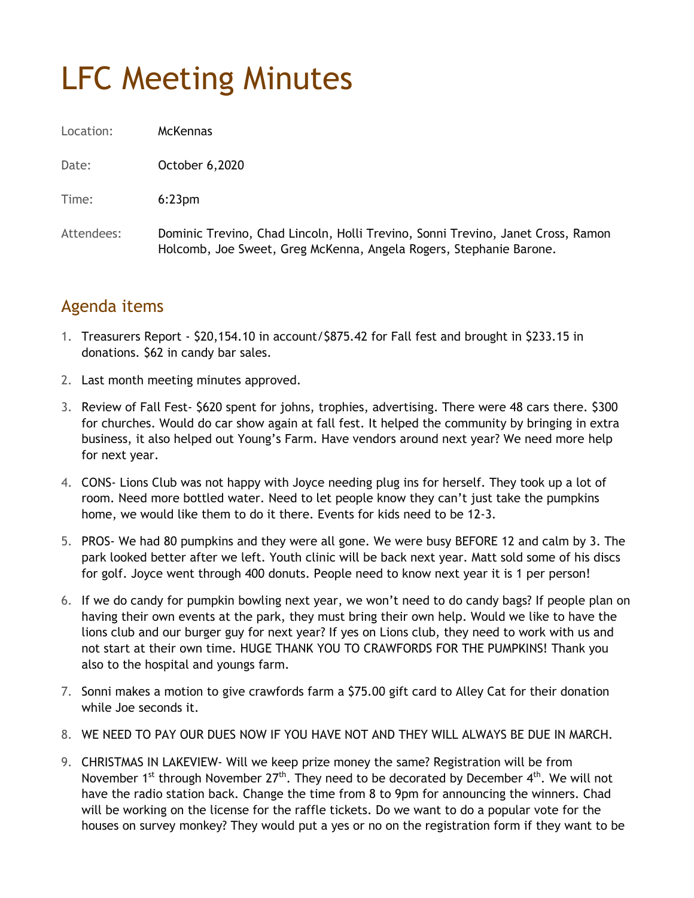## LFC Meeting Minutes

Location: McKennas

Date: **October 6,2020** 

Time: 6:23pm

Attendees: Dominic Trevino, Chad Lincoln, Holli Trevino, Sonni Trevino, Janet Cross, Ramon Holcomb, Joe Sweet, Greg McKenna, Angela Rogers, Stephanie Barone.

## Agenda items

- 1. Treasurers Report \$20,154.10 in account/\$875.42 for Fall fest and brought in \$233.15 in donations. \$62 in candy bar sales.
- 2. Last month meeting minutes approved.
- 3. Review of Fall Fest- \$620 spent for johns, trophies, advertising. There were 48 cars there. \$300 for churches. Would do car show again at fall fest. It helped the community by bringing in extra business, it also helped out Young's Farm. Have vendors around next year? We need more help for next year.
- 4. CONS- Lions Club was not happy with Joyce needing plug ins for herself. They took up a lot of room. Need more bottled water. Need to let people know they can't just take the pumpkins home, we would like them to do it there. Events for kids need to be 12-3.
- 5. PROS- We had 80 pumpkins and they were all gone. We were busy BEFORE 12 and calm by 3. The park looked better after we left. Youth clinic will be back next year. Matt sold some of his discs for golf. Joyce went through 400 donuts. People need to know next year it is 1 per person!
- 6. If we do candy for pumpkin bowling next year, we won't need to do candy bags? If people plan on having their own events at the park, they must bring their own help. Would we like to have the lions club and our burger guy for next year? If yes on Lions club, they need to work with us and not start at their own time. HUGE THANK YOU TO CRAWFORDS FOR THE PUMPKINS! Thank you also to the hospital and youngs farm.
- 7. Sonni makes a motion to give crawfords farm a \$75.00 gift card to Alley Cat for their donation while Joe seconds it.
- 8. WE NEED TO PAY OUR DUES NOW IF YOU HAVE NOT AND THEY WILL ALWAYS BE DUE IN MARCH.
- 9. CHRISTMAS IN LAKEVIEW- Will we keep prize money the same? Registration will be from November 1<sup>st</sup> through November  $27<sup>th</sup>$ . They need to be decorated by December 4<sup>th</sup>. We will not have the radio station back. Change the time from 8 to 9pm for announcing the winners. Chad will be working on the license for the raffle tickets. Do we want to do a popular vote for the houses on survey monkey? They would put a yes or no on the registration form if they want to be